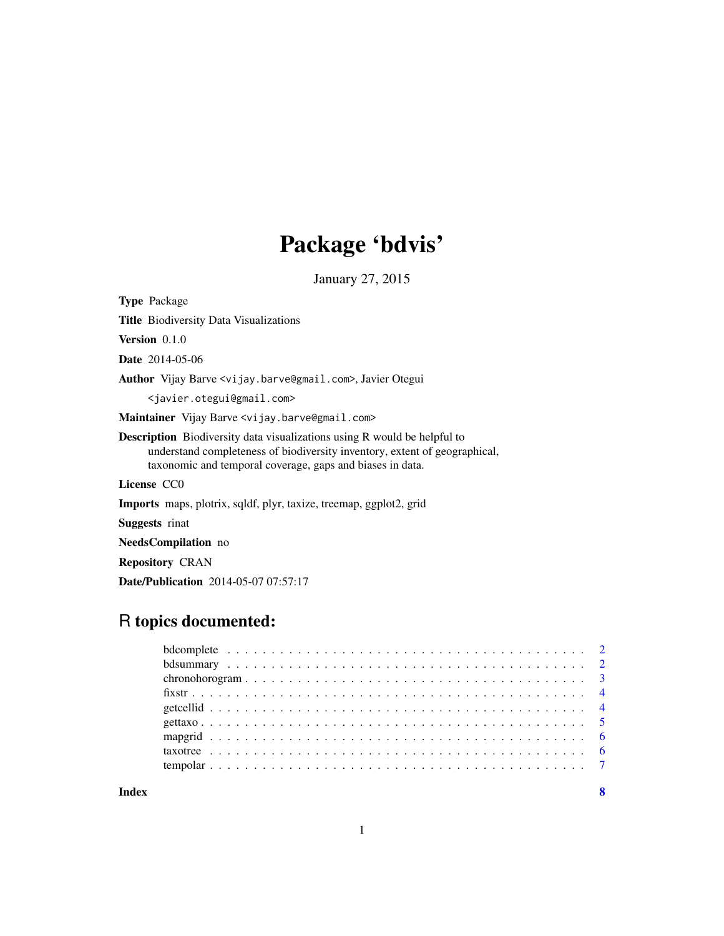## Package 'bdvis'

January 27, 2015

<span id="page-0-0"></span>Type Package

Title Biodiversity Data Visualizations

Version 0.1.0

Date 2014-05-06

Author Vijay Barve <vijay.barve@gmail.com>, Javier Otegui

<javier.otegui@gmail.com>

Maintainer Vijay Barve <vijay.barve@gmail.com>

Description Biodiversity data visualizations using R would be helpful to understand completeness of biodiversity inventory, extent of geographical, taxonomic and temporal coverage, gaps and biases in data.

License CC0

Imports maps, plotrix, sqldf, plyr, taxize, treemap, ggplot2, grid

Suggests rinat

NeedsCompilation no

Repository CRAN

Date/Publication 2014-05-07 07:57:17

### R topics documented:

**Index** [8](#page-7-0) **8**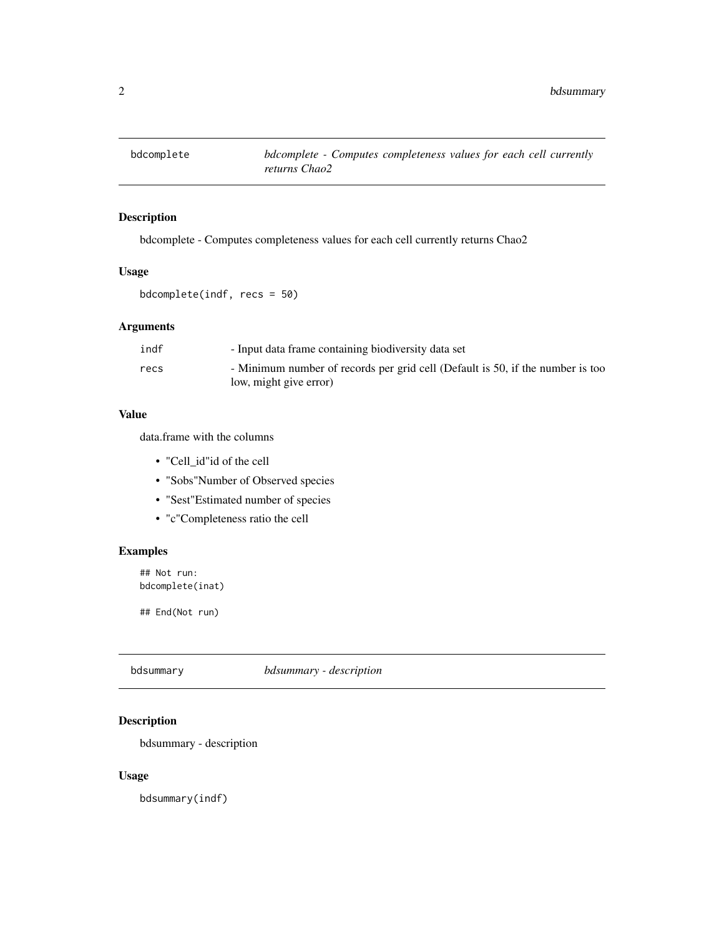<span id="page-1-0"></span>

#### Description

bdcomplete - Computes completeness values for each cell currently returns Chao2

#### Usage

bdcomplete(indf, recs = 50)

#### Arguments

| indf | - Input data frame containing biodiversity data set                                                      |
|------|----------------------------------------------------------------------------------------------------------|
| recs | - Minimum number of records per grid cell (Default is 50, if the number is too<br>low, might give error) |
|      |                                                                                                          |

#### Value

data.frame with the columns

- "Cell\_id"id of the cell
- "Sobs"Number of Observed species
- "Sest"Estimated number of species
- "c"Completeness ratio the cell

#### Examples

## Not run: bdcomplete(inat)

## End(Not run)

bdsummary *bdsummary - description*

#### Description

bdsummary - description

#### Usage

bdsummary(indf)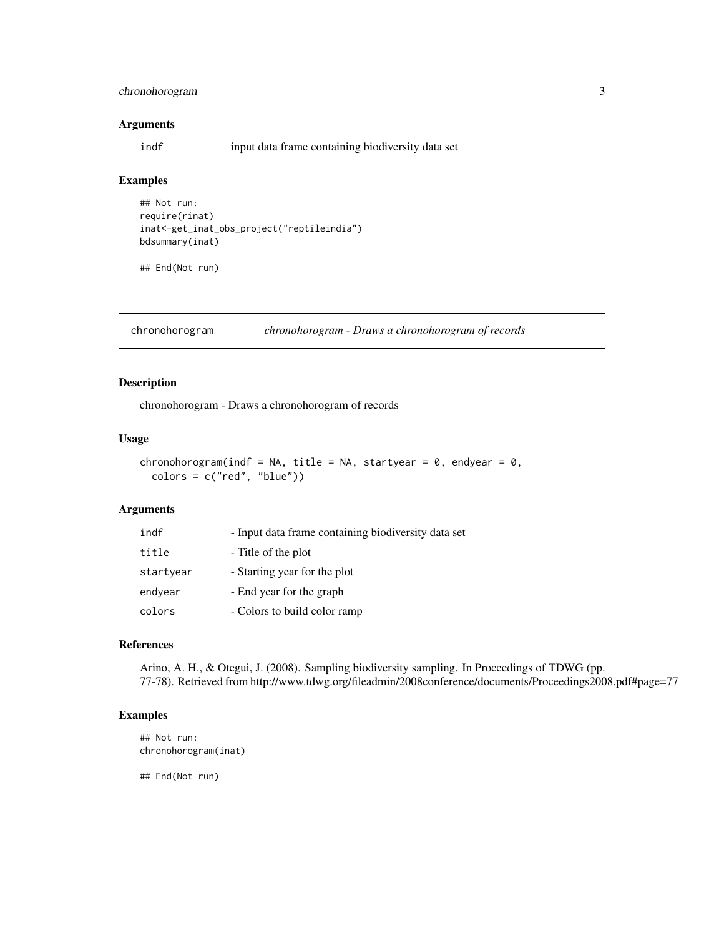#### <span id="page-2-0"></span>chronohorogram 3

#### Arguments

indf input data frame containing biodiversity data set

#### Examples

```
## Not run:
require(rinat)
inat<-get_inat_obs_project("reptileindia")
bdsummary(inat)
```
## End(Not run)

chronohorogram *chronohorogram - Draws a chronohorogram of records*

#### Description

chronohorogram - Draws a chronohorogram of records

#### Usage

```
chronohorogram(indf = NA, title = NA, startyear = 0, endyear = 0,
 colors = c("red", "blue")
```
#### Arguments

| indf      | - Input data frame containing biodiversity data set |
|-----------|-----------------------------------------------------|
| title     | - Title of the plot                                 |
| startyear | - Starting year for the plot                        |
| endyear   | - End year for the graph                            |
| colors    | - Colors to build color ramp                        |

#### References

Arino, A. H., & Otegui, J. (2008). Sampling biodiversity sampling. In Proceedings of TDWG (pp. 77-78). Retrieved from http://www.tdwg.org/fileadmin/2008conference/documents/Proceedings2008.pdf#page=77

#### Examples

## Not run: chronohorogram(inat)

## End(Not run)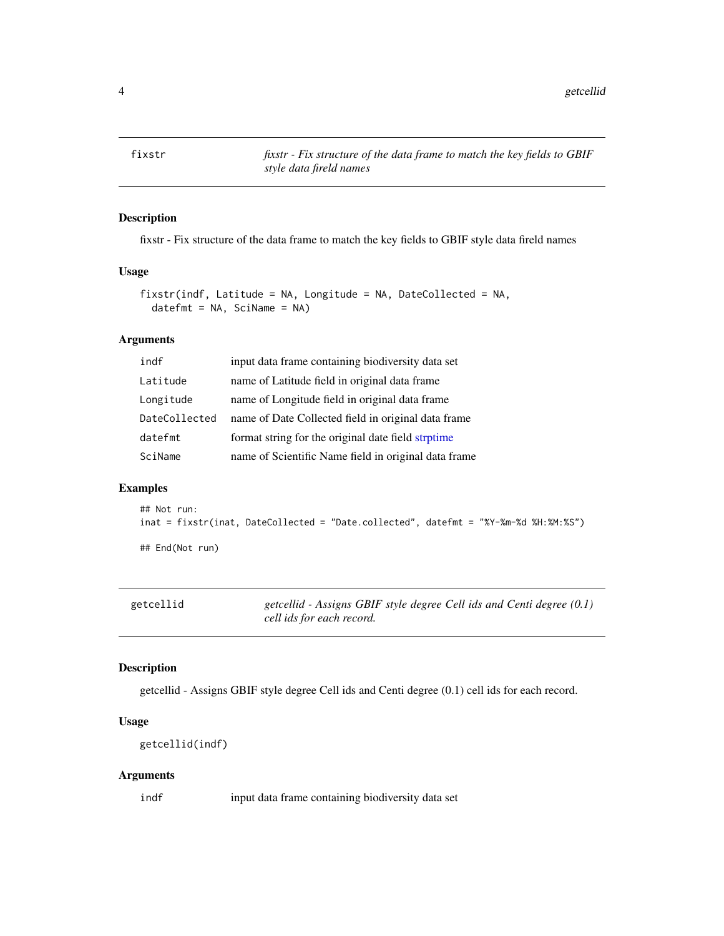<span id="page-3-0"></span>fixstr *fixstr - Fix structure of the data frame to match the key fields to GBIF style data fireld names*

#### Description

fixstr - Fix structure of the data frame to match the key fields to GBIF style data fireld names

#### Usage

```
fixstr(indf, Latitude = NA, Longitude = NA, DateCollected = NA,
 datefmt = NA, SciName = NA)
```
#### Arguments

| input data frame containing biodiversity data set    |
|------------------------------------------------------|
| name of Latitude field in original data frame        |
| name of Longitude field in original data frame       |
| name of Date Collected field in original data frame  |
| format string for the original date field strptime   |
| name of Scientific Name field in original data frame |
|                                                      |

#### Examples

```
## Not run:
inat = fixstr(inat, DateCollected = "Date.collected", datefmt = "%Y-%m-%d %H:%M:%S")
```
## End(Not run)

| getcellid | getcellid - Assigns GBIF style degree Cell ids and Centi degree $(0.1)$ |
|-----------|-------------------------------------------------------------------------|
|           | cell ids for each record.                                               |

#### Description

getcellid - Assigns GBIF style degree Cell ids and Centi degree (0.1) cell ids for each record.

#### Usage

```
getcellid(indf)
```
#### Arguments

indf input data frame containing biodiversity data set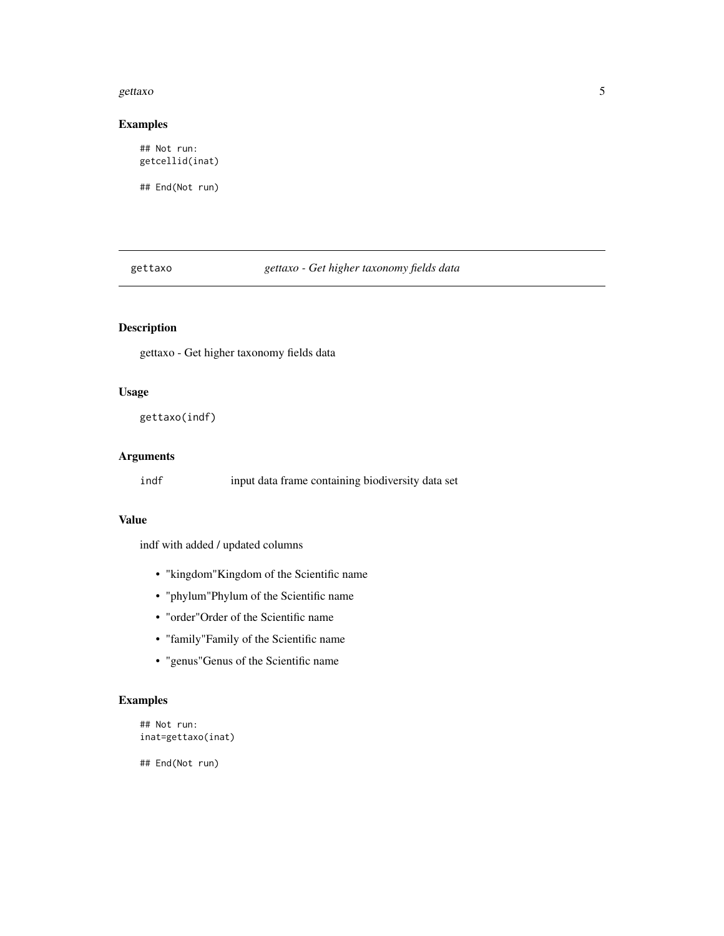#### <span id="page-4-0"></span>gettaxo 5

#### Examples

## Not run: getcellid(inat)

## End(Not run)

gettaxo *gettaxo - Get higher taxonomy fields data*

#### Description

gettaxo - Get higher taxonomy fields data

#### Usage

gettaxo(indf)

#### Arguments

indf input data frame containing biodiversity data set

#### Value

indf with added / updated columns

- "kingdom"Kingdom of the Scientific name
- "phylum"Phylum of the Scientific name
- "order"Order of the Scientific name
- "family"Family of the Scientific name
- "genus"Genus of the Scientific name

#### Examples

```
## Not run:
inat=gettaxo(inat)
```
## End(Not run)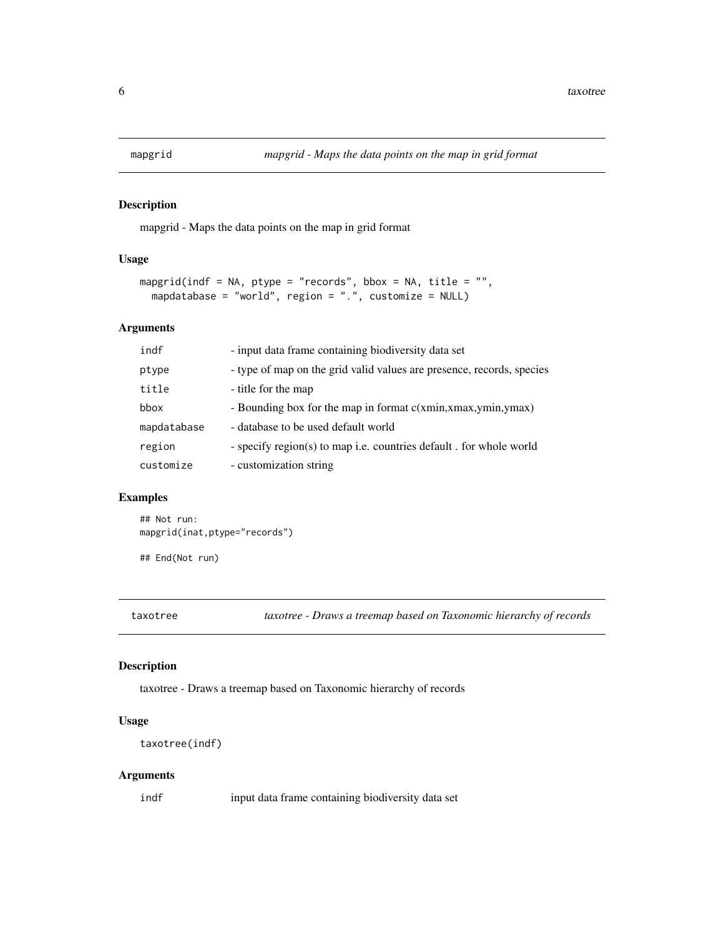<span id="page-5-0"></span>

#### Description

mapgrid - Maps the data points on the map in grid format

#### Usage

```
mapgrid(indf = NA, ptype = "records", bbox = NA, title = "",
 mapdatabase = "world", region = ".", customize = NULL)
```
#### Arguments

| indf        | - input data frame containing biodiversity data set                   |
|-------------|-----------------------------------------------------------------------|
| ptype       | - type of map on the grid value values are presence, records, species |
| title       | - title for the map                                                   |
| bbox        | - Bounding box for the map in format c(xmin,xmax,ymin,ymax)           |
| mapdatabase | - database to be used default world                                   |
| region      | - specify region(s) to map i.e. countries default. for whole world    |
| customize   | - customization string                                                |

#### Examples

```
## Not run:
mapgrid(inat,ptype="records")
```
## End(Not run)

taxotree *taxotree - Draws a treemap based on Taxonomic hierarchy of records*

#### Description

taxotree - Draws a treemap based on Taxonomic hierarchy of records

#### Usage

```
taxotree(indf)
```
#### Arguments

indf input data frame containing biodiversity data set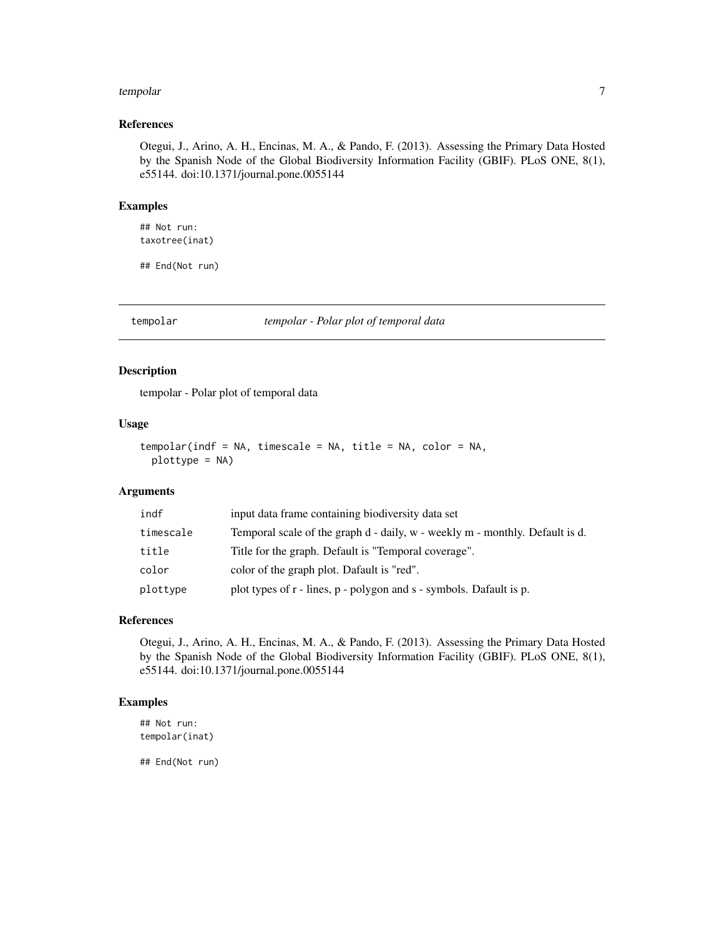#### <span id="page-6-0"></span>tempolar and the state of the state of the state of the state of the state of the state of the state of the state of the state of the state of the state of the state of the state of the state of the state of the state of t

#### References

Otegui, J., Arino, A. H., Encinas, M. A., & Pando, F. (2013). Assessing the Primary Data Hosted by the Spanish Node of the Global Biodiversity Information Facility (GBIF). PLoS ONE, 8(1), e55144. doi:10.1371/journal.pone.0055144

#### Examples

## Not run: taxotree(inat)

## End(Not run)

tempolar *tempolar - Polar plot of temporal data*

#### Description

tempolar - Polar plot of temporal data

#### Usage

```
tempolar(indf = NA, timescale = NA, title = NA, color = NA,
 plottype = NA)
```
#### Arguments

| indf      | input data frame containing biodiversity data set                            |
|-----------|------------------------------------------------------------------------------|
| timescale | Temporal scale of the graph d - daily, w - weekly m - monthly. Default is d. |
| title     | Title for the graph. Default is "Temporal coverage".                         |
| color     | color of the graph plot. Dafault is "red".                                   |
| plottype  | plot types of r - lines, p - polygon and s - symbols. Dafault is p.          |

#### References

Otegui, J., Arino, A. H., Encinas, M. A., & Pando, F. (2013). Assessing the Primary Data Hosted by the Spanish Node of the Global Biodiversity Information Facility (GBIF). PLoS ONE, 8(1), e55144. doi:10.1371/journal.pone.0055144

#### Examples

## Not run: tempolar(inat)

## End(Not run)